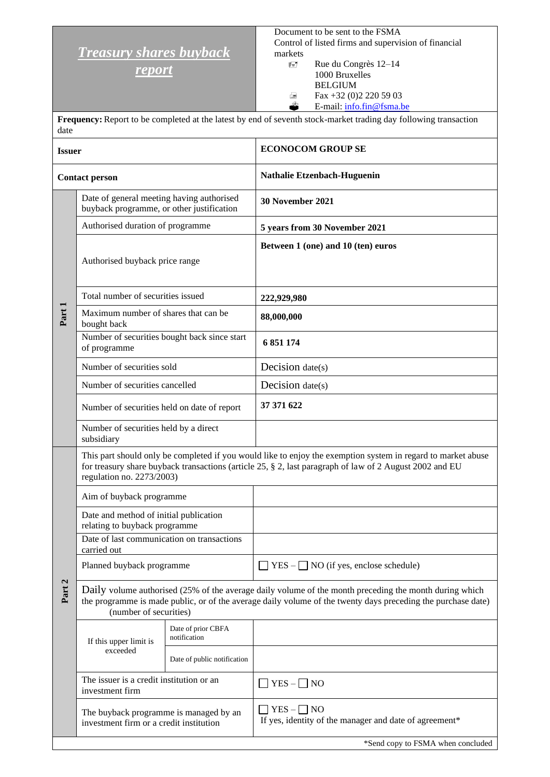## *Treasury shares buyback*

*report*

Document to be sent to the FSMA Control of listed firms and supervision of financial markets

 Rue du Congrès 12–14 1000 Bruxelles BELGIUM  $\triangle$  Fax +32 (0)2 220 59 03<br>
E-mail: info.fin@fsma.b E-mail: [info.fin@fsma.be](mailto:info.fin@fsma.be)

**Frequency:**Report to be completed at the latest by end of seventh stock-market trading day following transaction date

| <b>Issuer</b>         |                                                                                        |                                    | <b>ECONOCOM GROUP SE</b>                                                                                                                                                                                                |  |  |
|-----------------------|----------------------------------------------------------------------------------------|------------------------------------|-------------------------------------------------------------------------------------------------------------------------------------------------------------------------------------------------------------------------|--|--|
| <b>Contact person</b> |                                                                                        |                                    | Nathalie Etzenbach-Huguenin                                                                                                                                                                                             |  |  |
| Part 1                | Date of general meeting having authorised<br>buyback programme, or other justification |                                    | 30 November 2021                                                                                                                                                                                                        |  |  |
|                       | Authorised duration of programme                                                       |                                    | 5 years from 30 November 2021                                                                                                                                                                                           |  |  |
|                       | Authorised buyback price range                                                         |                                    | Between 1 (one) and 10 (ten) euros                                                                                                                                                                                      |  |  |
|                       | Total number of securities issued                                                      |                                    | 222,929,980                                                                                                                                                                                                             |  |  |
|                       | Maximum number of shares that can be<br>bought back                                    |                                    | 88,000,000                                                                                                                                                                                                              |  |  |
|                       | Number of securities bought back since start<br>of programme                           |                                    | 6 851 174                                                                                                                                                                                                               |  |  |
|                       | Number of securities sold                                                              |                                    | Decision $date(s)$                                                                                                                                                                                                      |  |  |
|                       | Number of securities cancelled                                                         |                                    | Decision $date(s)$                                                                                                                                                                                                      |  |  |
|                       | Number of securities held on date of report                                            |                                    | 37 371 622                                                                                                                                                                                                              |  |  |
|                       | Number of securities held by a direct<br>subsidiary                                    |                                    |                                                                                                                                                                                                                         |  |  |
|                       | regulation no. 2273/2003)                                                              |                                    | This part should only be completed if you would like to enjoy the exemption system in regard to market abuse<br>for treasury share buyback transactions (article 25, § 2, last paragraph of law of 2 August 2002 and EU |  |  |
|                       | Aim of buyback programme                                                               |                                    |                                                                                                                                                                                                                         |  |  |
|                       | Date and method of initial publication<br>relating to buyback programme                |                                    |                                                                                                                                                                                                                         |  |  |
|                       | Date of last communication on transactions<br>carried out                              |                                    |                                                                                                                                                                                                                         |  |  |
| Part 2                | Planned buyback programme                                                              |                                    | $YES -$ NO (if yes, enclose schedule)                                                                                                                                                                                   |  |  |
|                       | (number of securities)                                                                 |                                    | Daily volume authorised (25% of the average daily volume of the month preceding the month during which<br>the programme is made public, or of the average daily volume of the twenty days preceding the purchase date)  |  |  |
|                       | If this upper limit is<br>exceeded                                                     | Date of prior CBFA<br>notification |                                                                                                                                                                                                                         |  |  |
|                       |                                                                                        | Date of public notification        |                                                                                                                                                                                                                         |  |  |
|                       | The issuer is a credit institution or an<br>investment firm                            |                                    | $YES - \Box NO$                                                                                                                                                                                                         |  |  |
|                       | The buyback programme is managed by an<br>investment firm or a credit institution      |                                    | $YES - \Box NO$<br>If yes, identity of the manager and date of agreement*                                                                                                                                               |  |  |
|                       |                                                                                        |                                    | *Send copy to FSMA when concluded                                                                                                                                                                                       |  |  |